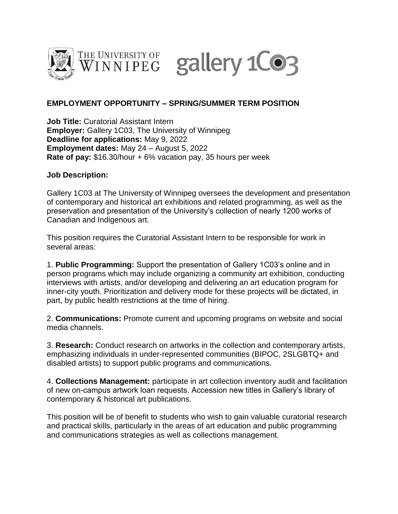



THE UNIVERSITY OF gallery 1CO3

## **EMPLOYMENT OPPORTUNITY – SPRING/SUMMER TERM POSITION**

**Job Title:** Curatorial Assistant Intern **Employer:** Gallery 1C03, The University of Winnipeg **Deadline for applications:** May 9, 2022 **Employment dates:** May 24 – August 5, 2022 **Rate of pay:** \$16.30/hour + 6% vacation pay, 35 hours per week

## **Job Description:**

Gallery 1C03 at The University of Winnipeg oversees the development and presentation of contemporary and historical art exhibitions and related programming, as well as the preservation and presentation of the University's collection of nearly 1200 works of Canadian and Indigenous art.

This position requires the Curatorial Assistant Intern to be responsible for work in several areas:

1. **Public Programming:** Support the presentation of Gallery 1C03's online and in person programs which may include organizing a community art exhibition, conducting interviews with artists, and/or developing and delivering an art education program for inner-city youth. Prioritization and delivery mode for these projects will be dictated, in part, by public health restrictions at the time of hiring.

2. **Communications:** Promote current and upcoming programs on website and social media channels.

3. **Research:** Conduct research on artworks in the collection and contemporary artists, emphasizing individuals in under-represented communities (BIPOC, 2SLGBTQ+ and disabled artists) to support public programs and communications.

4. **Collections Management:** participate in art collection inventory audit and facilitation of new on-campus artwork loan requests. Accession new titles in Gallery's library of contemporary & historical art publications.

This position will be of benefit to students who wish to gain valuable curatorial research and practical skills, particularly in the areas of art education and public programming and communications strategies as well as collections management.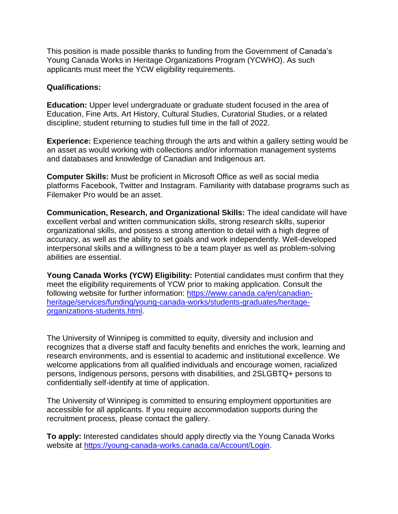This position is made possible thanks to funding from the Government of Canada's Young Canada Works in Heritage Organizations Program (YCWHO). As such applicants must meet the YCW eligibility requirements.

## **Qualifications:**

**Education:** Upper level undergraduate or graduate student focused in the area of Education, Fine Arts, Art History, Cultural Studies, Curatorial Studies, or a related discipline; student returning to studies full time in the fall of 2022.

**Experience:** Experience teaching through the arts and within a gallery setting would be an asset as would working with collections and/or information management systems and databases and knowledge of Canadian and Indigenous art.

**Computer Skills:** Must be proficient in Microsoft Office as well as social media platforms Facebook, Twitter and Instagram. Familiarity with database programs such as Filemaker Pro would be an asset.

**Communication, Research, and Organizational Skills:** The ideal candidate will have excellent verbal and written communication skills, strong research skills, superior organizational skills, and possess a strong attention to detail with a high degree of accuracy, as well as the ability to set goals and work independently. Well-developed interpersonal skills and a willingness to be a team player as well as problem-solving abilities are essential.

**Young Canada Works (YCW) Eligibility:** Potential candidates must confirm that they meet the eligibility requirements of YCW prior to making application. Consult the following website for further information: [https://www.canada.ca/en/canadian](https://www.canada.ca/en/canadian-heritage/services/funding/young-canada-works/students-graduates/heritage-organizations-students.html)[heritage/services/funding/young-canada-works/students-graduates/heritage](https://www.canada.ca/en/canadian-heritage/services/funding/young-canada-works/students-graduates/heritage-organizations-students.html)[organizations-students.html.](https://www.canada.ca/en/canadian-heritage/services/funding/young-canada-works/students-graduates/heritage-organizations-students.html)

The University of Winnipeg is committed to equity, diversity and inclusion and recognizes that a diverse staff and faculty benefits and enriches the work, learning and research environments, and is essential to academic and institutional excellence. We welcome applications from all qualified individuals and encourage women, racialized persons, Indigenous persons, persons with disabilities, and 2SLGBTQ+ persons to confidentially self-identify at time of application.

The University of Winnipeg is committed to ensuring employment opportunities are accessible for all applicants. If you require accommodation supports during the recruitment process, please contact the gallery.

**To apply:** Interested candidates should apply directly via the Young Canada Works website at [https://young-canada-works.canada.ca/Account/Login.](https://young-canada-works.canada.ca/Account/Login)